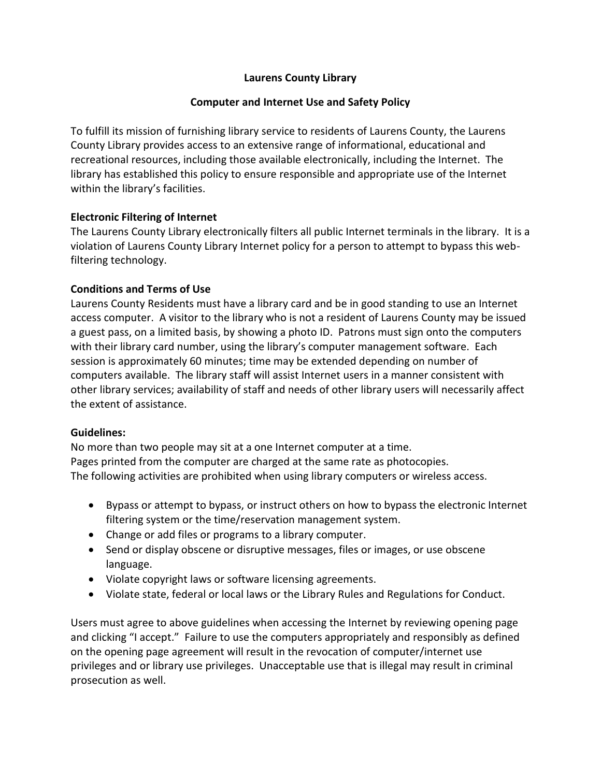# **Laurens County Library**

## **Computer and Internet Use and Safety Policy**

To fulfill its mission of furnishing library service to residents of Laurens County, the Laurens County Library provides access to an extensive range of informational, educational and recreational resources, including those available electronically, including the Internet. The library has established this policy to ensure responsible and appropriate use of the Internet within the library's facilities.

## **Electronic Filtering of Internet**

The Laurens County Library electronically filters all public Internet terminals in the library. It is a violation of Laurens County Library Internet policy for a person to attempt to bypass this webfiltering technology.

## **Conditions and Terms of Use**

Laurens County Residents must have a library card and be in good standing to use an Internet access computer. A visitor to the library who is not a resident of Laurens County may be issued a guest pass, on a limited basis, by showing a photo ID. Patrons must sign onto the computers with their library card number, using the library's computer management software. Each session is approximately 60 minutes; time may be extended depending on number of computers available. The library staff will assist Internet users in a manner consistent with other library services; availability of staff and needs of other library users will necessarily affect the extent of assistance.

#### **Guidelines:**

No more than two people may sit at a one Internet computer at a time. Pages printed from the computer are charged at the same rate as photocopies. The following activities are prohibited when using library computers or wireless access.

- Bypass or attempt to bypass, or instruct others on how to bypass the electronic Internet filtering system or the time/reservation management system.
- Change or add files or programs to a library computer.
- Send or display obscene or disruptive messages, files or images, or use obscene language.
- Violate copyright laws or software licensing agreements.
- Violate state, federal or local laws or the Library Rules and Regulations for Conduct.

Users must agree to above guidelines when accessing the Internet by reviewing opening page and clicking "I accept." Failure to use the computers appropriately and responsibly as defined on the opening page agreement will result in the revocation of computer/internet use privileges and or library use privileges. Unacceptable use that is illegal may result in criminal prosecution as well.